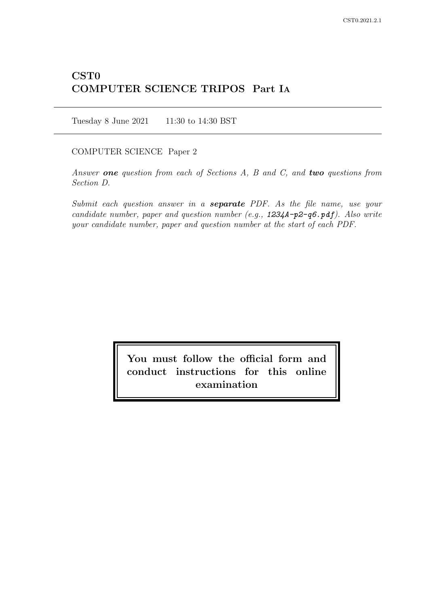# CST0 COMPUTER SCIENCE TRIPOS Part IA

Tuesday 8 June 2021 11:30 to 14:30 BST

COMPUTER SCIENCE Paper 2

Answer one question from each of Sections  $A$ ,  $B$  and  $C$ , and two questions from Section D.

Submit each question answer in a **separate** PDF. As the file name, use your candidate number, paper and question number (e.g., 1234A-p2-q6.pdf). Also write your candidate number, paper and question number at the start of each PDF.

> You must follow the official form and conduct instructions for this online examination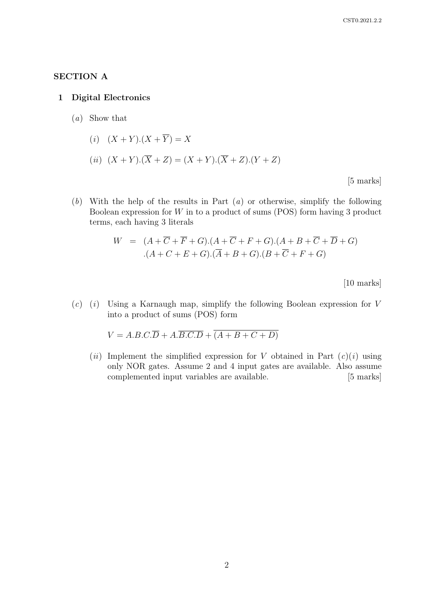# SECTION A

## 1 Digital Electronics

- (a) Show that
	- (i)  $(X + Y) \cdot (X + \overline{Y}) = X$
	- (ii)  $(X + Y) \cdot (\overline{X} + Z) = (X + Y) \cdot (\overline{X} + Z) \cdot (Y + Z)$

[5 marks]

 $(b)$  With the help of the results in Part  $(a)$  or otherwise, simplify the following Boolean expression for W in to a product of sums (POS) form having 3 product terms, each having 3 literals

$$
W = (A + \overline{C} + \overline{F} + G).(A + \overline{C} + F + G).(A + B + \overline{C} + \overline{D} + G)
$$
  
.
$$
(A + C + E + G).(\overline{A} + B + G).(B + \overline{C} + F + G)
$$

[10 marks]

 $(c)$  (i) Using a Karnaugh map, simplify the following Boolean expression for V into a product of sums (POS) form

$$
V = A.B.C.\overline{D} + A.\overline{B.C.D} + \overline{(A+B+C+D)}
$$

(ii) Implement the simplified expression for V obtained in Part  $(c)(i)$  using only NOR gates. Assume 2 and 4 input gates are available. Also assume complemented input variables are available. [5 marks]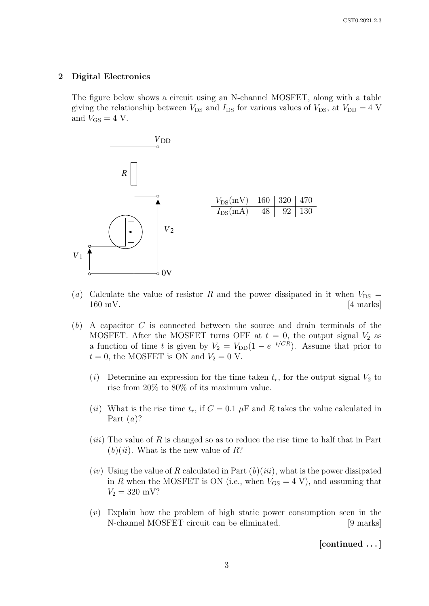## 2 Digital Electronics

The figure below shows a circuit using an N-channel MOSFET, along with a table giving the relationship between  $V_{DS}$  and  $I_{DS}$  for various values of  $V_{DS}$ , at  $V_{DD} = 4$  V and  $V_{GS} = 4$  V.



- (a) Calculate the value of resistor R and the power dissipated in it when  $V_{DS} =$  $160 \text{ mV}$ . [4 marks]
- $(b)$  A capacitor C is connected between the source and drain terminals of the MOSFET. After the MOSFET turns OFF at  $t = 0$ , the output signal  $V_2$  as a function of time t is given by  $V_2 = V_{DD}(1 - e^{-t/CR})$ . Assume that prior to  $t = 0$ , the MOSFET is ON and  $V_2 = 0$  V.
	- (i) Determine an expression for the time taken  $t_r$ , for the output signal  $V_2$  to rise from 20% to 80% of its maximum value.
	- (ii) What is the rise time  $t_r$ , if  $C = 0.1 \mu$ F and R takes the value calculated in Part  $(a)$ ?
	- $(iii)$  The value of R is changed so as to reduce the rise time to half that in Part  $(b)(ii)$ . What is the new value of R?
	- $(iv)$  Using the value of R calculated in Part  $(b)(iii)$ , what is the power dissipated in R when the MOSFET is ON (i.e., when  $V_{\text{GS}} = 4 \text{ V}$ ), and assuming that  $V_2 = 320$  mV?
	- (v) Explain how the problem of high static power consumption seen in the N-channel MOSFET circuit can be eliminated. [9 marks]

[continued . . . ]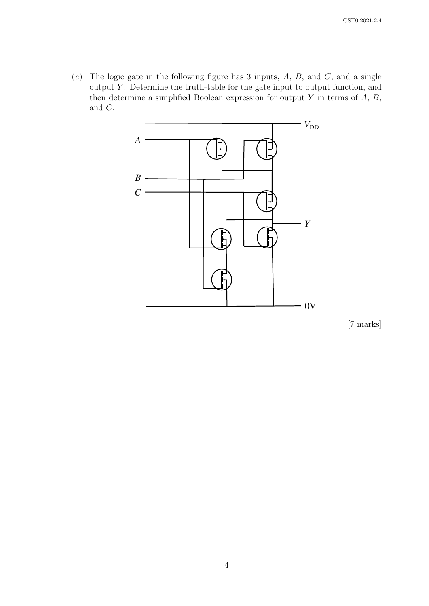$(c)$  The logic gate in the following figure has 3 inputs, A, B, and C, and a single output  $Y$ . Determine the truth-table for the gate input to output function, and then determine a simplified Boolean expression for output  $Y$  in terms of  $A, B$ , and C.



[7 marks]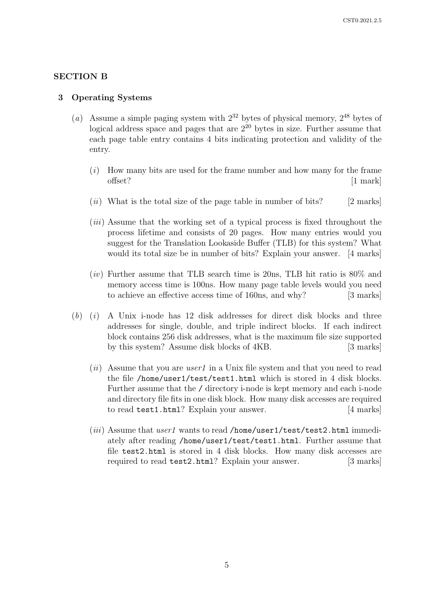## SECTION B

#### 3 Operating Systems

- (a) Assume a simple paging system with  $2^{32}$  bytes of physical memory,  $2^{48}$  bytes of logical address space and pages that are  $2^{20}$  bytes in size. Further assume that each page table entry contains 4 bits indicating protection and validity of the entry.
	- $(i)$  How many bits are used for the frame number and how many for the frame offset? [1 mark]
	- (ii) What is the total size of the page table in number of bits? [2 marks]
	- (*iii*) Assume that the working set of a typical process is fixed throughout the process lifetime and consists of 20 pages. How many entries would you suggest for the Translation Lookaside Buffer (TLB) for this system? What would its total size be in number of bits? Explain your answer. [4 marks]
	- $(iv)$  Further assume that TLB search time is 20ns, TLB hit ratio is 80% and memory access time is 100ns. How many page table levels would you need to achieve an effective access time of 160ns, and why? [3 marks]
- $(b)$  (i) A Unix i-node has 12 disk addresses for direct disk blocks and three addresses for single, double, and triple indirect blocks. If each indirect block contains 256 disk addresses, what is the maximum file size supported by this system? Assume disk blocks of 4KB. [3 marks]
	- (*ii*) Assume that you are *user1* in a Unix file system and that you need to read the file /home/user1/test/test1.html which is stored in 4 disk blocks. Further assume that the / directory i-node is kept memory and each i-node and directory file fits in one disk block. How many disk accesses are required to read test1.html? Explain your answer. [4 marks]
	- (*iii*) Assume that *user1* wants to read /home/user1/test/test2.html immediately after reading /home/user1/test/test1.html. Further assume that file test2.html is stored in 4 disk blocks. How many disk accesses are required to read test2.html? Explain your answer. [3 marks]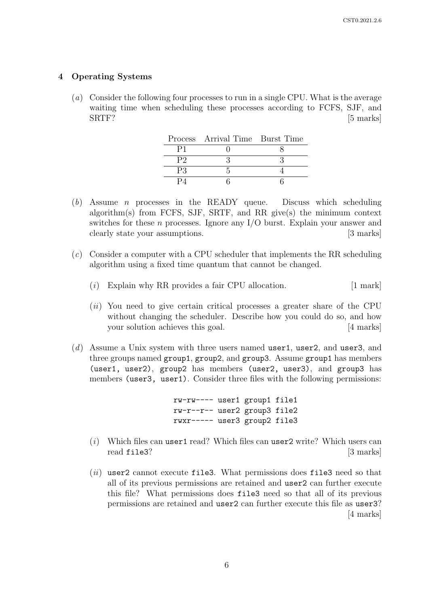## 4 Operating Systems

(a) Consider the following four processes to run in a single CPU. What is the average waiting time when scheduling these processes according to FCFS, SJF, and SRTF? [5 marks]

|    | Process Arrival Time Burst Time |  |
|----|---------------------------------|--|
|    |                                 |  |
| P2 |                                 |  |
| PЗ |                                 |  |
|    |                                 |  |

- (b) Assume n processes in the READY queue. Discuss which scheduling algorithm(s) from FCFS, SJF, SRTF, and RR give(s) the minimum context switches for these  $n$  processes. Ignore any I/O burst. Explain your answer and clearly state your assumptions. [3 marks]
- (c) Consider a computer with a CPU scheduler that implements the RR scheduling algorithm using a fixed time quantum that cannot be changed.
	- $(i)$  Explain why RR provides a fair CPU allocation. [1 mark]
	- (ii) You need to give certain critical processes a greater share of the CPU without changing the scheduler. Describe how you could do so, and how your solution achieves this goal. [4 marks]
- (d) Assume a Unix system with three users named user1, user2, and user3, and three groups named group1, group2, and group3. Assume group1 has members (user1, user2), group2 has members (user2, user3), and group3 has members (user3, user1). Consider three files with the following permissions:

rw-rw---- user1 group1 file1 rw-r--r-- user2 group3 file2 rwxr----- user3 group2 file3

- ( $i)$  Which files can user1 read? Which files can user2 write? Which users can read file3? [3 marks]
- $(ii)$  user2 cannot execute file3. What permissions does file3 need so that all of its previous permissions are retained and user2 can further execute this file? What permissions does file3 need so that all of its previous permissions are retained and user2 can further execute this file as user3? [4 marks]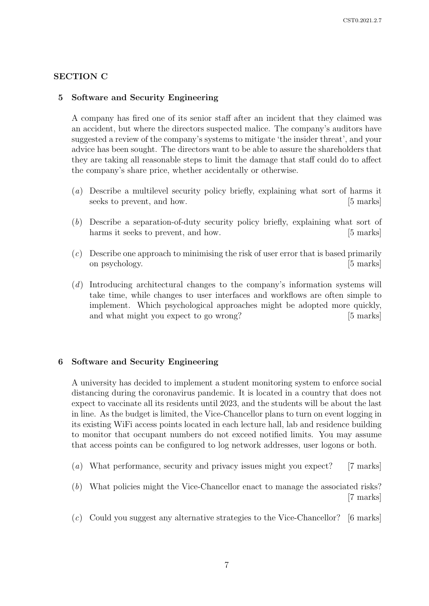## SECTION C

#### 5 Software and Security Engineering

A company has fired one of its senior staff after an incident that they claimed was an accident, but where the directors suspected malice. The company's auditors have suggested a review of the company's systems to mitigate 'the insider threat', and your advice has been sought. The directors want to be able to assure the shareholders that they are taking all reasonable steps to limit the damage that staff could do to affect the company's share price, whether accidentally or otherwise.

- (a) Describe a multilevel security policy briefly, explaining what sort of harms it seeks to prevent, and how. [5 marks]
- (b) Describe a separation-of-duty security policy briefly, explaining what sort of harms it seeks to prevent, and how. [5 marks]
- (c) Describe one approach to minimising the risk of user error that is based primarily on psychology. [5 marks]
- (d) Introducing architectural changes to the company's information systems will take time, while changes to user interfaces and workflows are often simple to implement. Which psychological approaches might be adopted more quickly, and what might you expect to go wrong? [5 marks]

## 6 Software and Security Engineering

A university has decided to implement a student monitoring system to enforce social distancing during the coronavirus pandemic. It is located in a country that does not expect to vaccinate all its residents until 2023, and the students will be about the last in line. As the budget is limited, the Vice-Chancellor plans to turn on event logging in its existing WiFi access points located in each lecture hall, lab and residence building to monitor that occupant numbers do not exceed notified limits. You may assume that access points can be configured to log network addresses, user logons or both.

- (a) What performance, security and privacy issues might you expect? [7 marks]
- (b) What policies might the Vice-Chancellor enact to manage the associated risks? [7 marks]
- (c) Could you suggest any alternative strategies to the Vice-Chancellor? [6 marks]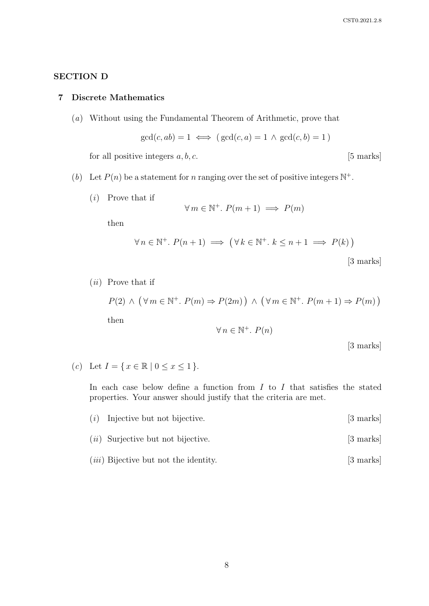# SECTION D

## 7 Discrete Mathematics

(a) Without using the Fundamental Theorem of Arithmetic, prove that

$$
\gcd(c, ab) = 1 \iff (\gcd(c, a) = 1 \land \gcd(c, b) = 1)
$$

for all positive integers  $a, b, c$ . [5 marks]

- (b) Let  $P(n)$  be a statement for n ranging over the set of positive integers  $\mathbb{N}^+$ .
	- (i) Prove that if

$$
\forall m \in \mathbb{N}^+.\ P(m+1) \implies P(m)
$$

then

$$
\forall n \in \mathbb{N}^+. \ P(n+1) \implies (\forall k \in \mathbb{N}^+. \ k \le n+1 \implies P(k))
$$
\n[3 marks]

 $(ii)$  Prove that if

$$
P(2) \land (\forall m \in \mathbb{N}^+. P(m) \Rightarrow P(2m)) \land (\forall m \in \mathbb{N}^+. P(m+1) \Rightarrow P(m))
$$
  
then  

$$
\forall n \in \mathbb{N}^+. P(n)
$$

[3 marks]

(c) Let  $I = \{ x \in \mathbb{R} \mid 0 \le x \le 1 \}.$ 

In each case below define a function from  $I$  to  $I$  that satisfies the stated properties. Your answer should justify that the criteria are met.

- (i) Injective but not bijective. [3 marks]
- (*ii*) Surjective but not bijective. [3 marks]
- (*iii*) Bijective but not the identity. [3 marks]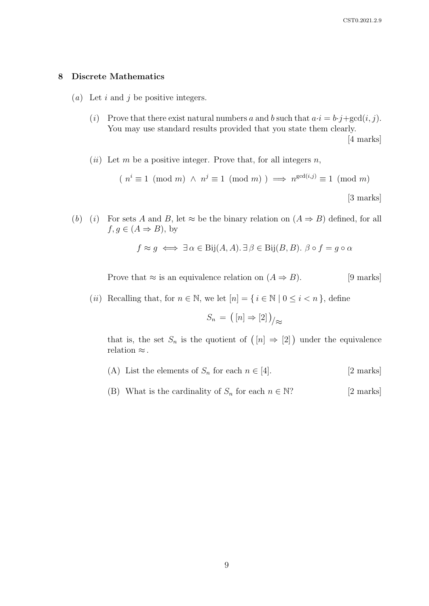## 8 Discrete Mathematics

- (*a*) Let  $i$  and  $j$  be positive integers.
	- (i) Prove that there exist natural numbers a and b such that  $a \cdot i = b \cdot j + \gcd(i, j)$ . You may use standard results provided that you state them clearly. [4 marks]
	- (*ii*) Let m be a positive integer. Prove that, for all integers n,

$$
(n^{i} \equiv 1 \pmod{m} \land n^{j} \equiv 1 \pmod{m}) \implies n^{\gcd(i,j)} \equiv 1 \pmod{m}
$$
  
[3 marks]

(b) (i) For sets A and B, let  $\approx$  be the binary relation on  $(A \Rightarrow B)$  defined, for all  $f, g \in (A \Rightarrow B)$ , by

$$
f \approx g \iff \exists \alpha \in \text{Bij}(A, A) \therefore \exists \beta \in \text{Bij}(B, B) \therefore \beta \circ f = g \circ \alpha
$$

Prove that  $\approx$  is an equivalence relation on  $(A \Rightarrow B)$ . [9 marks]

(ii) Recalling that, for  $n \in \mathbb{N}$ , we let  $[n] = \{i \in \mathbb{N} \mid 0 \le i \le n\}$ , define

$$
S_n = ([n] \Rightarrow [2])_{\!/\approx}
$$

that is, the set  $S_n$  is the quotient of  $([n] \Rightarrow [2])$  under the equivalence relation  $\approx$ .

- (A) List the elements of  $S_n$  for each  $n \in [4]$ . [2 marks]
- (B) What is the cardinality of  $S_n$  for each  $n \in \mathbb{N}$ ? [2 marks]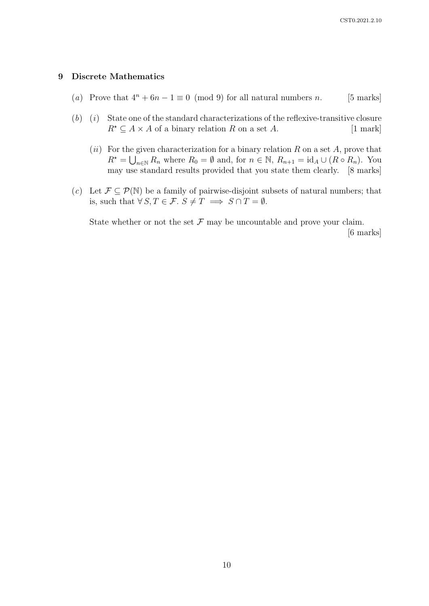## 9 Discrete Mathematics

- (a) Prove that  $4^n + 6n 1 \equiv 0 \pmod{9}$  for all natural numbers n. [5 marks]
- $(b)$  (i) State one of the standard characterizations of the reflexive-transitive closure  $R^* \subseteq A \times A$  of a binary relation R on a set A. [1 mark]
	- (ii) For the given characterization for a binary relation  $R$  on a set  $A$ , prove that  $R^* = \bigcup_{n \in \mathbb{N}} R_n$  where  $R_0 = \emptyset$  and, for  $n \in \mathbb{N}$ ,  $R_{n+1} = \text{id}_A \cup (R \circ R_n)$ . You may use standard results provided that you state them clearly. [8 marks]
- (c) Let  $\mathcal{F} \subseteq \mathcal{P}(\mathbb{N})$  be a family of pairwise-disjoint subsets of natural numbers; that is, such that  $\forall S, T \in \mathcal{F}$ .  $S \neq T \implies S \cap T = \emptyset$ .

State whether or not the set  $\mathcal F$  may be uncountable and prove your claim.

[6 marks]